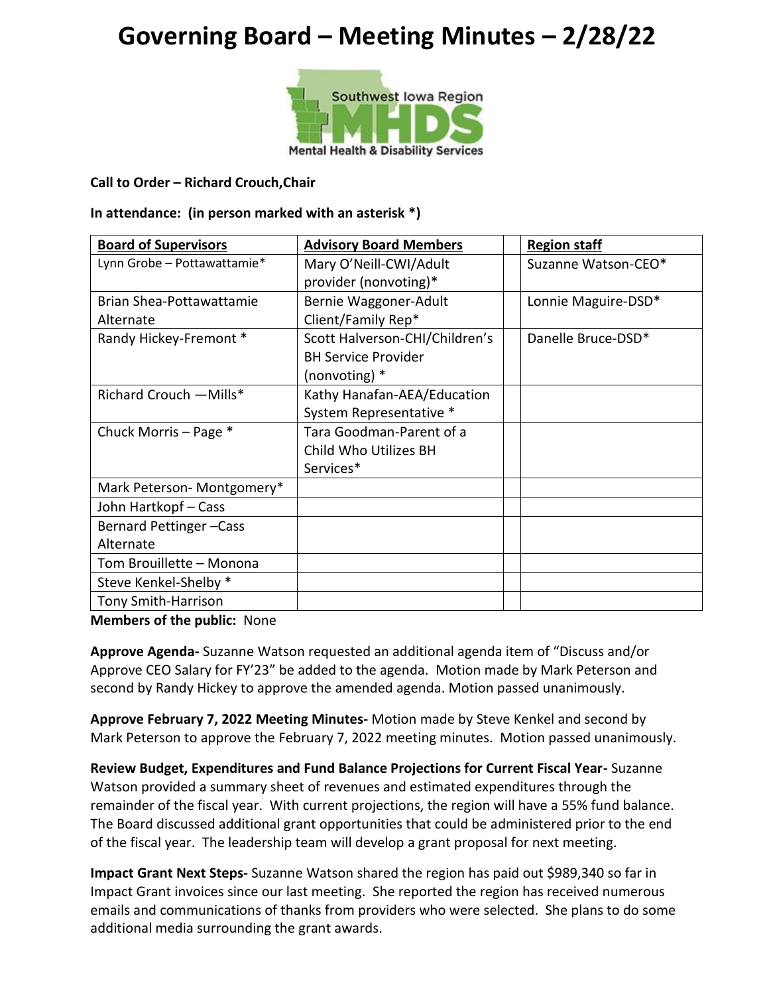# **Governing Board – Meeting Minutes – 2/28/22**



#### **Call to Order – Richard Crouch,Chair**

#### **In attendance: (in person marked with an asterisk \*)**

| <b>Board of Supervisors</b> | <b>Advisory Board Members</b>  | <b>Region staff</b> |
|-----------------------------|--------------------------------|---------------------|
| Lynn Grobe - Pottawattamie* | Mary O'Neill-CWI/Adult         | Suzanne Watson-CEO* |
|                             | provider (nonvoting)*          |                     |
| Brian Shea-Pottawattamie    | Bernie Waggoner-Adult          | Lonnie Maguire-DSD* |
| Alternate                   | Client/Family Rep*             |                     |
| Randy Hickey-Fremont *      | Scott Halverson-CHI/Children's | Danelle Bruce-DSD*  |
|                             | <b>BH Service Provider</b>     |                     |
|                             | (nonvoting) *                  |                     |
| Richard Crouch - Mills*     | Kathy Hanafan-AEA/Education    |                     |
|                             | System Representative *        |                     |
| Chuck Morris - Page *       | Tara Goodman-Parent of a       |                     |
|                             | Child Who Utilizes BH          |                     |
|                             | Services*                      |                     |
| Mark Peterson- Montgomery*  |                                |                     |
| John Hartkopf - Cass        |                                |                     |
| Bernard Pettinger-Cass      |                                |                     |
| Alternate                   |                                |                     |
| Tom Brouillette - Monona    |                                |                     |
| Steve Kenkel-Shelby *       |                                |                     |
| <b>Tony Smith-Harrison</b>  |                                |                     |

**Members of the public:** None

**Approve Agenda-** Suzanne Watson requested an additional agenda item of "Discuss and/or Approve CEO Salary for FY'23" be added to the agenda. Motion made by Mark Peterson and second by Randy Hickey to approve the amended agenda. Motion passed unanimously.

**Approve February 7, 2022 Meeting Minutes-** Motion made by Steve Kenkel and second by Mark Peterson to approve the February 7, 2022 meeting minutes. Motion passed unanimously.

**Review Budget, Expenditures and Fund Balance Projections for Current Fiscal Year-** Suzanne Watson provided a summary sheet of revenues and estimated expenditures through the remainder of the fiscal year. With current projections, the region will have a 55% fund balance. The Board discussed additional grant opportunities that could be administered prior to the end of the fiscal year. The leadership team will develop a grant proposal for next meeting.

**Impact Grant Next Steps-** Suzanne Watson shared the region has paid out \$989,340 so far in Impact Grant invoices since our last meeting. She reported the region has received numerous emails and communications of thanks from providers who were selected. She plans to do some additional media surrounding the grant awards.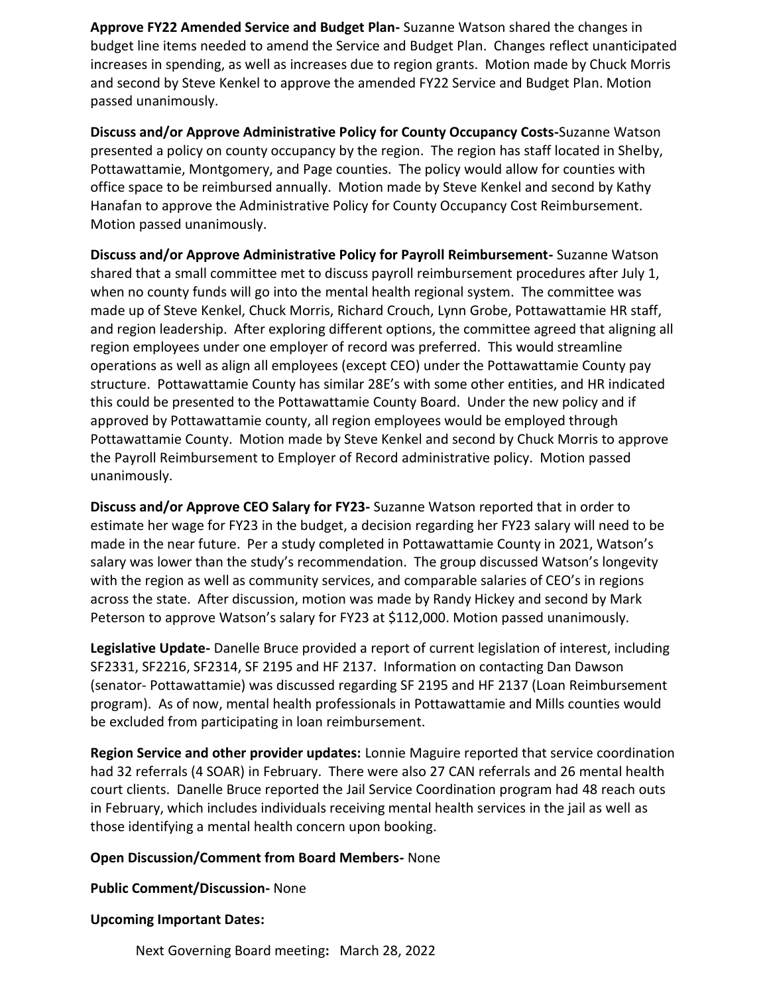**Approve FY22 Amended Service and Budget Plan-** Suzanne Watson shared the changes in budget line items needed to amend the Service and Budget Plan. Changes reflect unanticipated increases in spending, as well as increases due to region grants. Motion made by Chuck Morris and second by Steve Kenkel to approve the amended FY22 Service and Budget Plan. Motion passed unanimously.

**Discuss and/or Approve Administrative Policy for County Occupancy Costs-**Suzanne Watson presented a policy on county occupancy by the region. The region has staff located in Shelby, Pottawattamie, Montgomery, and Page counties. The policy would allow for counties with office space to be reimbursed annually. Motion made by Steve Kenkel and second by Kathy Hanafan to approve the Administrative Policy for County Occupancy Cost Reimbursement. Motion passed unanimously.

**Discuss and/or Approve Administrative Policy for Payroll Reimbursement-** Suzanne Watson shared that a small committee met to discuss payroll reimbursement procedures after July 1, when no county funds will go into the mental health regional system. The committee was made up of Steve Kenkel, Chuck Morris, Richard Crouch, Lynn Grobe, Pottawattamie HR staff, and region leadership. After exploring different options, the committee agreed that aligning all region employees under one employer of record was preferred. This would streamline operations as well as align all employees (except CEO) under the Pottawattamie County pay structure. Pottawattamie County has similar 28E's with some other entities, and HR indicated this could be presented to the Pottawattamie County Board. Under the new policy and if approved by Pottawattamie county, all region employees would be employed through Pottawattamie County. Motion made by Steve Kenkel and second by Chuck Morris to approve the Payroll Reimbursement to Employer of Record administrative policy. Motion passed unanimously.

**Discuss and/or Approve CEO Salary for FY23-** Suzanne Watson reported that in order to estimate her wage for FY23 in the budget, a decision regarding her FY23 salary will need to be made in the near future. Per a study completed in Pottawattamie County in 2021, Watson's salary was lower than the study's recommendation. The group discussed Watson's longevity with the region as well as community services, and comparable salaries of CEO's in regions across the state. After discussion, motion was made by Randy Hickey and second by Mark Peterson to approve Watson's salary for FY23 at \$112,000. Motion passed unanimously.

**Legislative Update-** Danelle Bruce provided a report of current legislation of interest, including SF2331, SF2216, SF2314, SF 2195 and HF 2137. Information on contacting Dan Dawson (senator- Pottawattamie) was discussed regarding SF 2195 and HF 2137 (Loan Reimbursement program). As of now, mental health professionals in Pottawattamie and Mills counties would be excluded from participating in loan reimbursement.

**Region Service and other provider updates:** Lonnie Maguire reported that service coordination had 32 referrals (4 SOAR) in February. There were also 27 CAN referrals and 26 mental health court clients. Danelle Bruce reported the Jail Service Coordination program had 48 reach outs in February, which includes individuals receiving mental health services in the jail as well as those identifying a mental health concern upon booking.

## **Open Discussion/Comment from Board Members-** None

**Public Comment/Discussion-** None

### **Upcoming Important Dates:**

Next Governing Board meeting**:** March 28, 2022